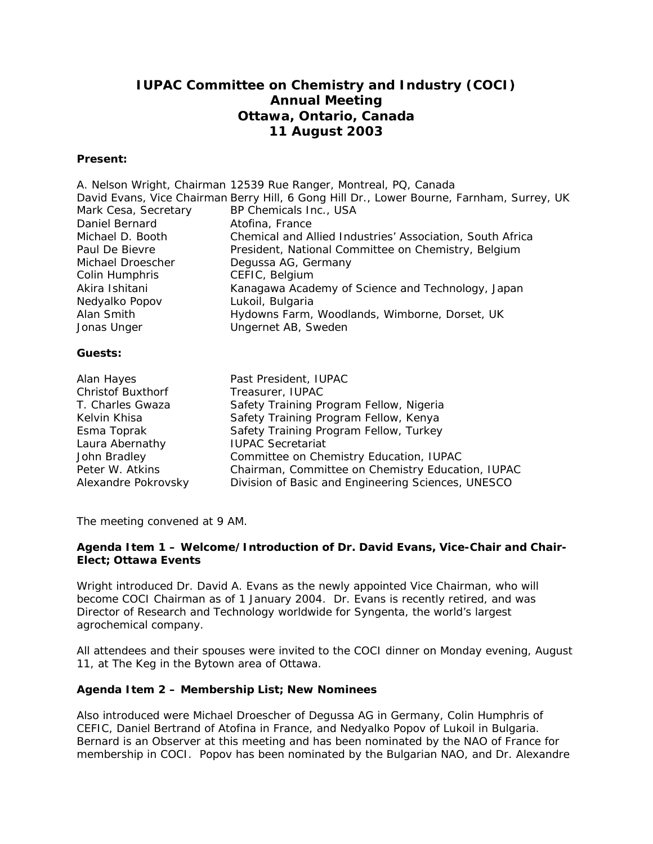# **IUPAC Committee on Chemistry and Industry (COCI) Annual Meeting Ottawa, Ontario, Canada 11 August 2003**

#### **Present:**

|                      | A. Nelson Wright, Chairman 12539 Rue Ranger, Montreal, PQ, Canada                         |
|----------------------|-------------------------------------------------------------------------------------------|
|                      | David Evans, Vice Chairman Berry Hill, 6 Gong Hill Dr., Lower Bourne, Farnham, Surrey, UK |
| Mark Cesa, Secretary | BP Chemicals Inc., USA                                                                    |
| Daniel Bernard       | Atofina, France                                                                           |
| Michael D. Booth     | Chemical and Allied Industries' Association, South Africa                                 |
| Paul De Bievre       | President, National Committee on Chemistry, Belgium                                       |
| Michael Droescher    | Degussa AG, Germany                                                                       |
| Colin Humphris       | CEFIC, Belgium                                                                            |
| Akira Ishitani       | Kanagawa Academy of Science and Technology, Japan                                         |
| Nedyalko Popov       | Lukoil, Bulgaria                                                                          |
| Alan Smith           | Hydowns Farm, Woodlands, Wimborne, Dorset, UK                                             |
| Jonas Unger          | Ungernet AB, Sweden                                                                       |
|                      |                                                                                           |
| Guests:              |                                                                                           |
|                      |                                                                                           |

| Alan Hayes               | Past President, IUPAC                              |
|--------------------------|----------------------------------------------------|
| <b>Christof Buxthorf</b> | Treasurer, IUPAC                                   |
| T. Charles Gwaza         | Safety Training Program Fellow, Nigeria            |
| Kelvin Khisa             | Safety Training Program Fellow, Kenya              |
| Esma Toprak              | Safety Training Program Fellow, Turkey             |
| Laura Abernathy          | <b>IUPAC Secretariat</b>                           |
| John Bradley             | Committee on Chemistry Education, IUPAC            |
| Peter W. Atkins          | Chairman, Committee on Chemistry Education, IUPAC  |
| Alexandre Pokrovsky      | Division of Basic and Engineering Sciences, UNESCO |

The meeting convened at 9 AM.

### **Agenda Item 1 – Welcome/Introduction of Dr. David Evans, Vice-Chair and Chair-Elect; Ottawa Events**

Wright introduced Dr. David A. Evans as the newly appointed Vice Chairman, who will become COCI Chairman as of 1 January 2004. Dr. Evans is recently retired, and was Director of Research and Technology worldwide for Syngenta, the world's largest agrochemical company.

All attendees and their spouses were invited to the COCI dinner on Monday evening, August 11, at The Keg in the Bytown area of Ottawa.

### **Agenda Item 2 – Membership List; New Nominees**

Also introduced were Michael Droescher of Degussa AG in Germany, Colin Humphris of CEFIC, Daniel Bertrand of Atofina in France, and Nedyalko Popov of Lukoil in Bulgaria. Bernard is an Observer at this meeting and has been nominated by the NAO of France for membership in COCI. Popov has been nominated by the Bulgarian NAO, and Dr. Alexandre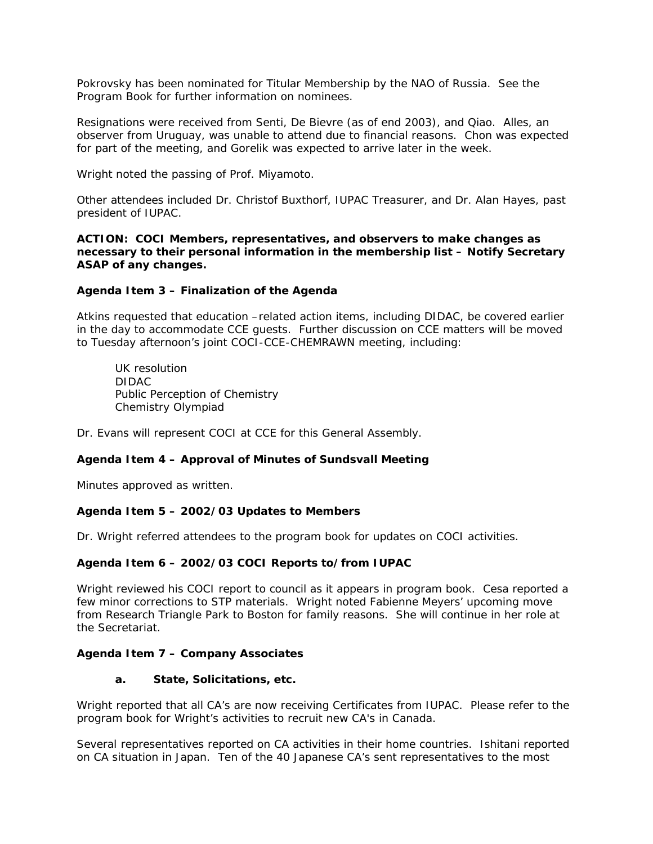Pokrovsky has been nominated for Titular Membership by the NAO of Russia. See the Program Book for further information on nominees.

Resignations were received from Senti, De Bievre (as of end 2003), and Qiao. Alles, an observer from Uruguay, was unable to attend due to financial reasons. Chon was expected for part of the meeting, and Gorelik was expected to arrive later in the week.

Wright noted the passing of Prof. Miyamoto.

Other attendees included Dr. Christof Buxthorf, IUPAC Treasurer, and Dr. Alan Hayes, past president of IUPAC.

#### **ACTION: COCI Members, representatives, and observers to make changes as necessary to their personal information in the membership list – Notify Secretary ASAP of any changes.**

### **Agenda Item 3 – Finalization of the Agenda**

Atkins requested that education –related action items, including DIDAC, be covered earlier in the day to accommodate CCE guests. Further discussion on CCE matters will be moved to Tuesday afternoon's joint COCI-CCE-CHEMRAWN meeting, including:

UK resolution DIDAC Public Perception of Chemistry Chemistry Olympiad

Dr. Evans will represent COCI at CCE for this General Assembly.

### **Agenda Item 4 – Approval of Minutes of Sundsvall Meeting**

Minutes approved as written.

### **Agenda Item 5 – 2002/03 Updates to Members**

Dr. Wright referred attendees to the program book for updates on COCI activities.

### **Agenda Item 6 – 2002/03 COCI Reports to/from IUPAC**

Wright reviewed his COCI report to council as it appears in program book. Cesa reported a few minor corrections to STP materials. Wright noted Fabienne Meyers' upcoming move from Research Triangle Park to Boston for family reasons. She will continue in her role at the Secretariat.

### **Agenda Item 7 – Company Associates**

#### **a. State, Solicitations, etc.**

Wright reported that all CA's are now receiving Certificates from IUPAC. Please refer to the program book for Wright's activities to recruit new CA's in Canada.

Several representatives reported on CA activities in their home countries. Ishitani reported on CA situation in Japan. Ten of the 40 Japanese CA's sent representatives to the most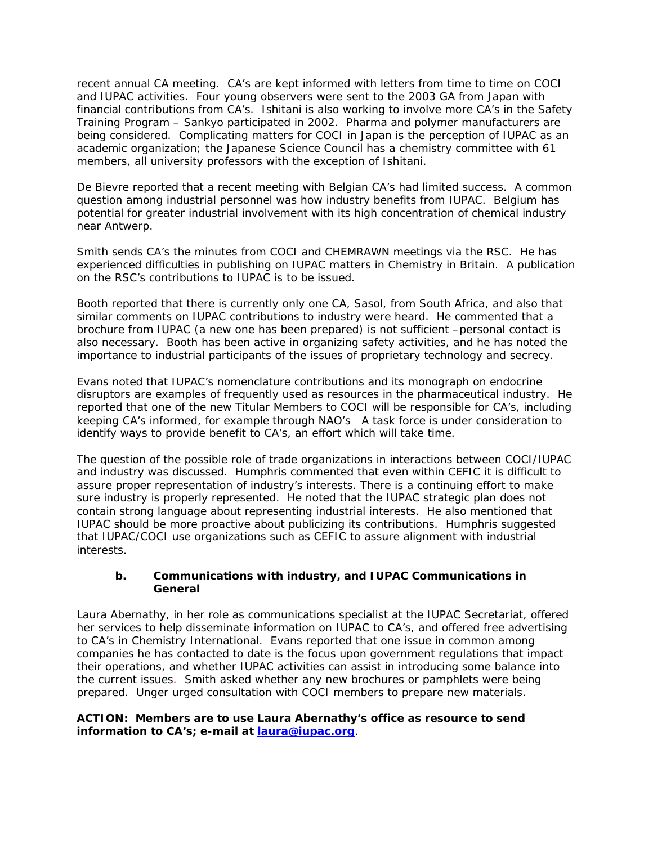recent annual CA meeting. CA's are kept informed with letters from time to time on COCI and IUPAC activities. Four young observers were sent to the 2003 GA from Japan with financial contributions from CA's. Ishitani is also working to involve more CA's in the Safety Training Program – Sankyo participated in 2002. Pharma and polymer manufacturers are being considered. Complicating matters for COCI in Japan is the perception of IUPAC as an academic organization; the Japanese Science Council has a chemistry committee with 61 members, all university professors with the exception of Ishitani.

De Bievre reported that a recent meeting with Belgian CA's had limited success. A common question among industrial personnel was how industry benefits from IUPAC. Belgium has potential for greater industrial involvement with its high concentration of chemical industry near Antwerp.

Smith sends CA's the minutes from COCI and CHEMRAWN meetings via the RSC. He has experienced difficulties in publishing on IUPAC matters in *Chemistry in Britain*. A publication on the RSC's contributions to IUPAC is to be issued.

Booth reported that there is currently only one CA, Sasol, from South Africa, and also that similar comments on IUPAC contributions to industry were heard. He commented that a brochure from IUPAC (a new one has been prepared) is not sufficient –personal contact is also necessary. Booth has been active in organizing safety activities, and he has noted the importance to industrial participants of the issues of proprietary technology and secrecy.

Evans noted that IUPAC's nomenclature contributions and its monograph on endocrine disruptors are examples of frequently used as resources in the pharmaceutical industry. He reported that one of the new Titular Members to COCI will be responsible for CA's, including keeping CA's informed, for example through NAO's A task force is under consideration to identify ways to provide benefit to CA's, an effort which will take time.

The question of the possible role of trade organizations in interactions between COCI/IUPAC and industry was discussed. Humphris commented that even within CEFIC it is difficult to assure proper representation of industry's interests. There is a continuing effort to make sure industry is properly represented. He noted that the IUPAC strategic plan does not contain strong language about representing industrial interests. He also mentioned that IUPAC should be more proactive about publicizing its contributions. Humphris suggested that IUPAC/COCI use organizations such as CEFIC to assure alignment with industrial interests.

### **b. Communications with industry, and IUPAC Communications in General**

Laura Abernathy, in her role as communications specialist at the IUPAC Secretariat, offered her services to help disseminate information on IUPAC to CA's, and offered free advertising to CA's in *Chemistry International*. Evans reported that one issue in common among companies he has contacted to date is the focus upon government regulations that impact their operations, and whether IUPAC activities can assist in introducing some balance into the current issues. Smith asked whether any new brochures or pamphlets were being prepared. Unger urged consultation with COCI members to prepare new materials.

### **ACTION: Members are to use Laura Abernathy's office as resource to send information to CA's; e-mail at laura@iupac.org**.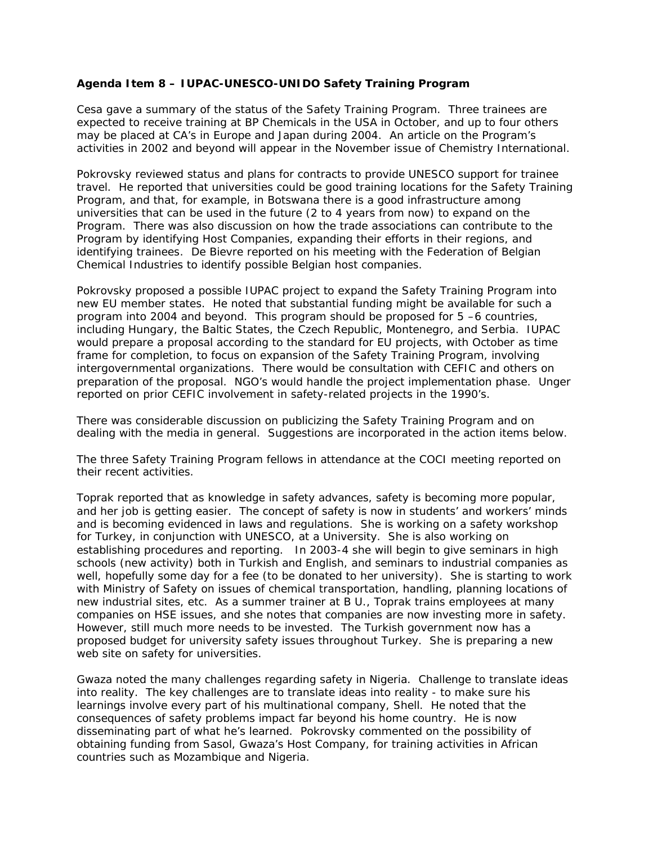### **Agenda Item 8 – IUPAC-UNESCO-UNIDO Safety Training Program**

Cesa gave a summary of the status of the Safety Training Program. Three trainees are expected to receive training at BP Chemicals in the USA in October, and up to four others may be placed at CA's in Europe and Japan during 2004. An article on the Program's activities in 2002 and beyond will appear in the November issue of *Chemistry International*.

Pokrovsky reviewed status and plans for contracts to provide UNESCO support for trainee travel. He reported that universities could be good training locations for the Safety Training Program, and that, for example, in Botswana there is a good infrastructure among universities that can be used in the future (2 to 4 years from now) to expand on the Program. There was also discussion on how the trade associations can contribute to the Program by identifying Host Companies, expanding their efforts in their regions, and identifying trainees. De Bievre reported on his meeting with the Federation of Belgian Chemical Industries to identify possible Belgian host companies.

Pokrovsky proposed a possible IUPAC project to expand the Safety Training Program into new EU member states. He noted that substantial funding might be available for such a program into 2004 and beyond. This program should be proposed for 5 –6 countries, including Hungary, the Baltic States, the Czech Republic, Montenegro, and Serbia. IUPAC would prepare a proposal according to the standard for EU projects, with October as time frame for completion, to focus on expansion of the Safety Training Program, involving intergovernmental organizations. There would be consultation with CEFIC and others on preparation of the proposal. NGO's would handle the project implementation phase. Unger reported on prior CEFIC involvement in safety-related projects in the 1990's.

There was considerable discussion on publicizing the Safety Training Program and on dealing with the media in general. Suggestions are incorporated in the action items below.

The three Safety Training Program fellows in attendance at the COCI meeting reported on their recent activities.

Toprak reported that as knowledge in safety advances, safety is becoming more popular, and her job is getting easier. The concept of safety is now in students' and workers' minds and is becoming evidenced in laws and regulations. She is working on a safety workshop for Turkey, in conjunction with UNESCO, at a University. She is also working on establishing procedures and reporting. In 2003-4 she will begin to give seminars in high schools (new activity) both in Turkish and English, and seminars to industrial companies as well, hopefully some day for a fee (to be donated to her university). She is starting to work with Ministry of Safety on issues of chemical transportation, handling, planning locations of new industrial sites, etc. As a summer trainer at B U., Toprak trains employees at many companies on HSE issues, and she notes that companies are now investing more in safety. However, still much more needs to be invested. The Turkish government now has a proposed budget for university safety issues throughout Turkey. She is preparing a new web site on safety for universities.

Gwaza noted the many challenges regarding safety in Nigeria. Challenge to translate ideas into reality. The key challenges are to translate ideas into reality - to make sure his learnings involve every part of his multinational company, Shell. He noted that the consequences of safety problems impact far beyond his home country. He is now disseminating part of what he's learned. Pokrovsky commented on the possibility of obtaining funding from Sasol, Gwaza's Host Company, for training activities in African countries such as Mozambique and Nigeria.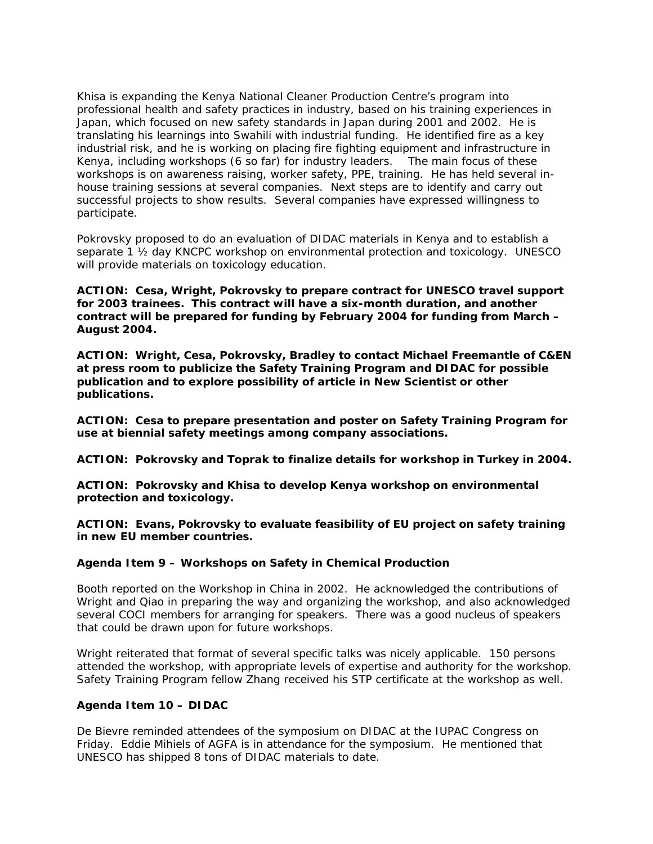Khisa is expanding the Kenya National Cleaner Production Centre's program into professional health and safety practices in industry, based on his training experiences in Japan, which focused on new safety standards in Japan during 2001 and 2002. He is translating his learnings into Swahili with industrial funding. He identified fire as a key industrial risk, and he is working on placing fire fighting equipment and infrastructure in Kenya, including workshops (6 so far) for industry leaders. The main focus of these workshops is on awareness raising, worker safety, PPE, training. He has held several inhouse training sessions at several companies. Next steps are to identify and carry out successful projects to show results. Several companies have expressed willingness to participate.

Pokrovsky proposed to do an evaluation of DIDAC materials in Kenya and to establish a separate 1 ½ day KNCPC workshop on environmental protection and toxicology. UNESCO will provide materials on toxicology education.

**ACTION: Cesa, Wright, Pokrovsky to prepare contract for UNESCO travel support for 2003 trainees. This contract will have a six-month duration, and another contract will be prepared for funding by February 2004 for funding from March – August 2004.**

**ACTION: Wright, Cesa, Pokrovsky, Bradley to contact Michael Freemantle of** *C&EN* **at press room to publicize the Safety Training Program and DIDAC for possible publication and to explore possibility of article in** *New Scientist* **or other publications.**

**ACTION: Cesa to prepare presentation and poster on Safety Training Program for use at biennial safety meetings among company associations.**

**ACTION: Pokrovsky and Toprak to finalize details for workshop in Turkey in 2004.**

**ACTION: Pokrovsky and Khisa to develop Kenya workshop on environmental protection and toxicology.**

**ACTION: Evans, Pokrovsky to evaluate feasibility of EU project on safety training in new EU member countries.**

#### **Agenda Item 9 – Workshops on Safety in Chemical Production**

Booth reported on the Workshop in China in 2002. He acknowledged the contributions of Wright and Qiao in preparing the way and organizing the workshop, and also acknowledged several COCI members for arranging for speakers. There was a good nucleus of speakers that could be drawn upon for future workshops.

Wright reiterated that format of several specific talks was nicely applicable. 150 persons attended the workshop, with appropriate levels of expertise and authority for the workshop. Safety Training Program fellow Zhang received his STP certificate at the workshop as well.

#### **Agenda Item 10 – DIDAC**

De Bievre reminded attendees of the symposium on DIDAC at the IUPAC Congress on Friday. Eddie Mihiels of AGFA is in attendance for the symposium. He mentioned that UNESCO has shipped 8 tons of DIDAC materials to date.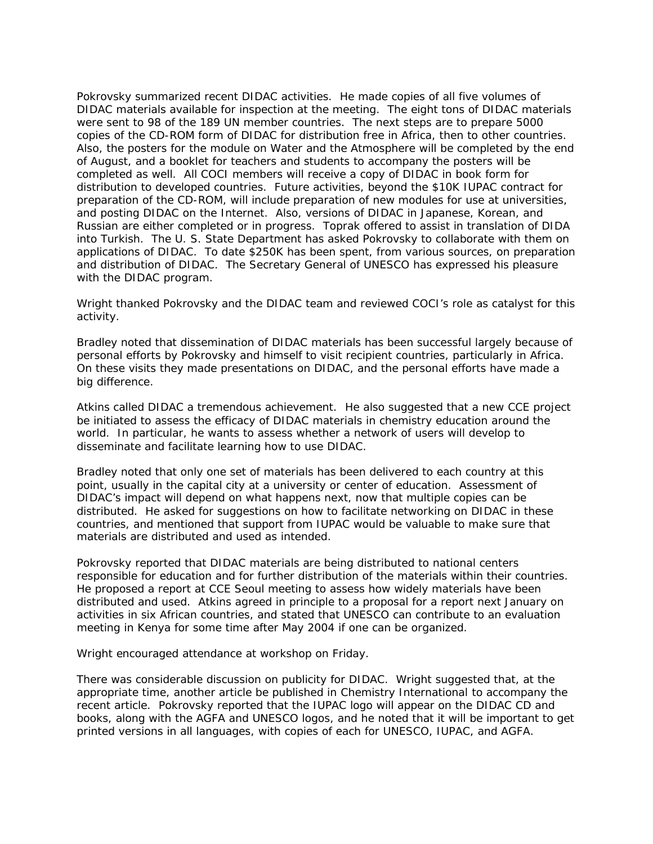Pokrovsky summarized recent DIDAC activities. He made copies of all five volumes of DIDAC materials available for inspection at the meeting. The eight tons of DIDAC materials were sent to 98 of the 189 UN member countries. The next steps are to prepare 5000 copies of the CD-ROM form of DIDAC for distribution free in Africa, then to other countries. Also, the posters for the module on Water and the Atmosphere will be completed by the end of August, and a booklet for teachers and students to accompany the posters will be completed as well. All COCI members will receive a copy of DIDAC in book form for distribution to developed countries. Future activities, beyond the \$10K IUPAC contract for preparation of the CD-ROM, will include preparation of new modules for use at universities, and posting DIDAC on the Internet. Also, versions of DIDAC in Japanese, Korean, and Russian are either completed or in progress. Toprak offered to assist in translation of DIDA into Turkish. The U. S. State Department has asked Pokrovsky to collaborate with them on applications of DIDAC. To date \$250K has been spent, from various sources, on preparation and distribution of DIDAC. The Secretary General of UNESCO has expressed his pleasure with the DIDAC program.

Wright thanked Pokrovsky and the DIDAC team and reviewed COCI's role as catalyst for this activity.

Bradley noted that dissemination of DIDAC materials has been successful largely because of personal efforts by Pokrovsky and himself to visit recipient countries, particularly in Africa. On these visits they made presentations on DIDAC, and the personal efforts have made a big difference.

Atkins called DIDAC a tremendous achievement. He also suggested that a new CCE project be initiated to assess the efficacy of DIDAC materials in chemistry education around the world. In particular, he wants to assess whether a network of users will develop to disseminate and facilitate learning how to use DIDAC.

Bradley noted that only one set of materials has been delivered to each country at this point, usually in the capital city at a university or center of education. Assessment of DIDAC's impact will depend on what happens next, now that multiple copies can be distributed. He asked for suggestions on how to facilitate networking on DIDAC in these countries, and mentioned that support from IUPAC would be valuable to make sure that materials are distributed and used as intended.

Pokrovsky reported that DIDAC materials are being distributed to national centers responsible for education and for further distribution of the materials within their countries. He proposed a report at CCE Seoul meeting to assess how widely materials have been distributed and used. Atkins agreed in principle to a proposal for a report next January on activities in six African countries, and stated that UNESCO can contribute to an evaluation meeting in Kenya for some time after May 2004 if one can be organized.

Wright encouraged attendance at workshop on Friday.

There was considerable discussion on publicity for DIDAC. Wright suggested that, at the appropriate time, another article be published in *Chemistry International* to accompany the recent article. Pokrovsky reported that the IUPAC logo will appear on the DIDAC CD and books, along with the AGFA and UNESCO logos, and he noted that it will be important to get printed versions in all languages, with copies of each for UNESCO, IUPAC, and AGFA.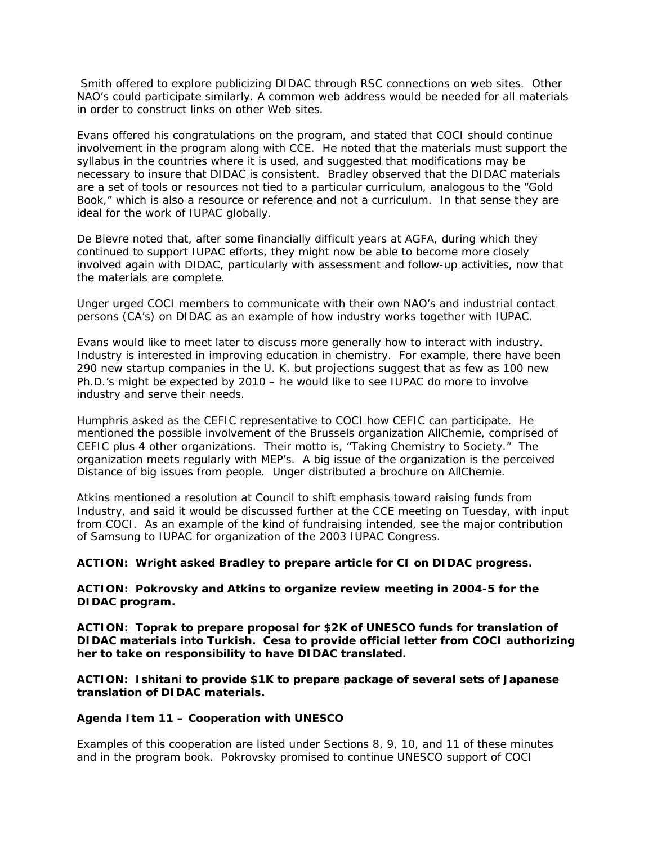Smith offered to explore publicizing DIDAC through RSC connections on web sites. Other NAO's could participate similarly. A common web address would be needed for all materials in order to construct links on other Web sites.

Evans offered his congratulations on the program, and stated that COCI should continue involvement in the program along with CCE. He noted that the materials must support the syllabus in the countries where it is used, and suggested that modifications may be necessary to insure that DIDAC is consistent. Bradley observed that the DIDAC materials are a set of tools or resources not tied to a particular curriculum, analogous to the "Gold Book," which is also a resource or reference and not a curriculum. In that sense they are ideal for the work of IUPAC globally.

De Bievre noted that, after some financially difficult years at AGFA, during which they continued to support IUPAC efforts, they might now be able to become more closely involved again with DIDAC, particularly with assessment and follow-up activities, now that the materials are complete.

Unger urged COCI members to communicate with their own NAO's and industrial contact persons (CA's) on DIDAC as an example of how industry works together with IUPAC.

Evans would like to meet later to discuss more generally how to interact with industry. Industry is interested in improving education in chemistry. For example, there have been 290 new startup companies in the U. K. but projections suggest that as few as 100 new Ph.D.'s might be expected by 2010 – he would like to see IUPAC do more to involve industry and serve their needs.

Humphris asked as the CEFIC representative to COCI how CEFIC can participate. He mentioned the possible involvement of the Brussels organization AllChemie, comprised of CEFIC plus 4 other organizations. Their motto is, "Taking Chemistry to Society." The organization meets regularly with MEP's. A big issue of the organization is the perceived Distance of big issues from people. Unger distributed a brochure on AllChemie.

Atkins mentioned a resolution at Council to shift emphasis toward raising funds from Industry, and said it would be discussed further at the CCE meeting on Tuesday, with input from COCI. As an example of the kind of fundraising intended, see the major contribution of Samsung to IUPAC for organization of the 2003 IUPAC Congress.

#### **ACTION: Wright asked Bradley to prepare article for CI on DIDAC progress.**

### **ACTION: Pokrovsky and Atkins to organize review meeting in 2004-5 for the DIDAC program.**

**ACTION: Toprak to prepare proposal for \$2K of UNESCO funds for translation of DIDAC materials into Turkish. Cesa to provide official letter from COCI authorizing her to take on responsibility to have DIDAC translated.**

**ACTION: Ishitani to provide \$1K to prepare package of several sets of Japanese translation of DIDAC materials.** 

#### **Agenda Item 11 – Cooperation with UNESCO**

Examples of this cooperation are listed under Sections 8, 9, 10, and 11 of these minutes and in the program book. Pokrovsky promised to continue UNESCO support of COCI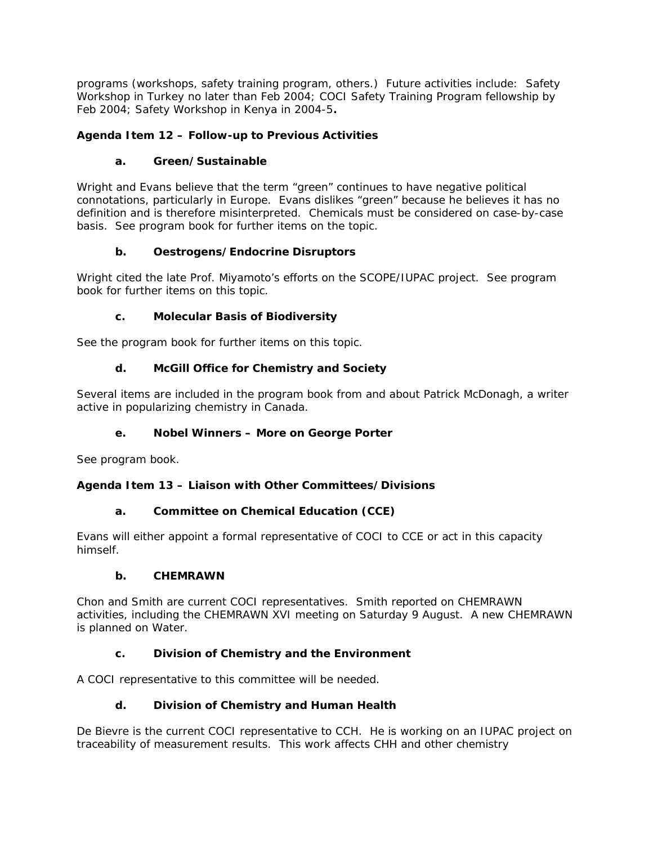programs (workshops, safety training program, others.) Future activities include: Safety Workshop in Turkey no later than Feb 2004; COCI Safety Training Program fellowship by Feb 2004; Safety Workshop in Kenya in 2004-5**.**

# **Agenda Item 12 – Follow-up to Previous Activities**

# **a. Green/Sustainable**

Wright and Evans believe that the term "green" continues to have negative political connotations, particularly in Europe. Evans dislikes "green" because he believes it has no definition and is therefore misinterpreted. Chemicals must be considered on case-by-case basis. See program book for further items on the topic.

# **b. Oestrogens/Endocrine Disruptors**

Wright cited the late Prof. Miyamoto's efforts on the SCOPE/IUPAC project. See program book for further items on this topic.

# **c. Molecular Basis of Biodiversity**

See the program book for further items on this topic.

# **d. McGill Office for Chemistry and Society**

Several items are included in the program book from and about Patrick McDonagh, a writer active in popularizing chemistry in Canada.

# **e. Nobel Winners – More on George Porter**

See program book.

# **Agenda Item 13 – Liaison with Other Committees/Divisions**

# **a. Committee on Chemical Education (CCE)**

Evans will either appoint a formal representative of COCI to CCE or act in this capacity himself.

# **b. CHEMRAWN**

Chon and Smith are current COCI representatives. Smith reported on CHEMRAWN activities, including the CHEMRAWN XVI meeting on Saturday 9 August. A new CHEMRAWN is planned on Water.

# **c. Division of Chemistry and the Environment**

A COCI representative to this committee will be needed.

# **d. Division of Chemistry and Human Health**

De Bievre is the current COCI representative to CCH. He is working on an IUPAC project on traceability of measurement results. This work affects CHH and other chemistry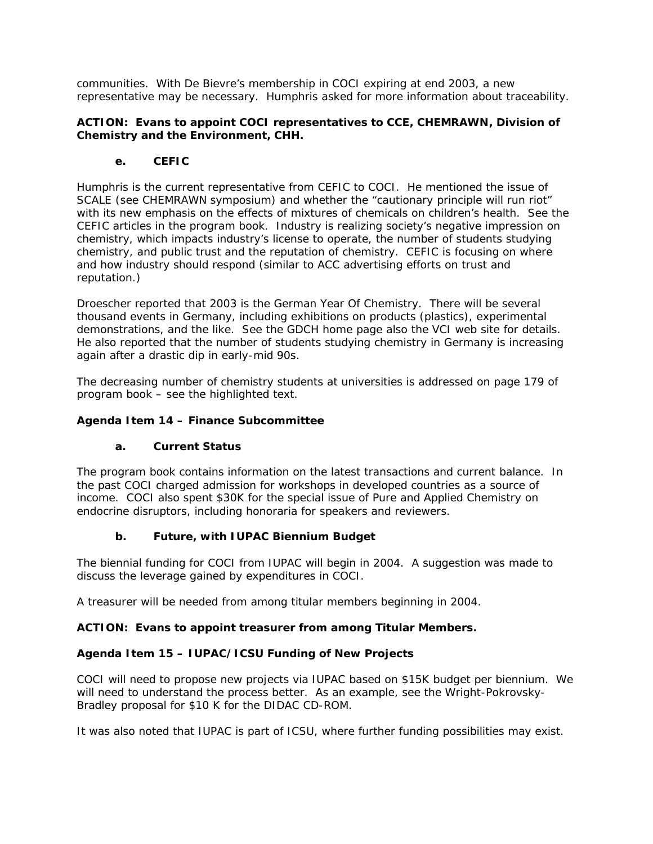communities. With De Bievre's membership in COCI expiring at end 2003, a new representative may be necessary. Humphris asked for more information about traceability.

### **ACTION: Evans to appoint COCI representatives to CCE, CHEMRAWN, Division of Chemistry and the Environment, CHH.**

# **e. CEFIC**

Humphris is the current representative from CEFIC to COCI. He mentioned the issue of SCALE (see CHEMRAWN symposium) and whether the "cautionary principle will run riot" with its new emphasis on the effects of mixtures of chemicals on children's health. See the CEFIC articles in the program book. Industry is realizing society's negative impression on chemistry, which impacts industry's license to operate, the number of students studying chemistry, and public trust and the reputation of chemistry. CEFIC is focusing on where and how industry should respond (similar to ACC advertising efforts on trust and reputation.)

Droescher reported that 2003 is the German Year Of Chemistry. There will be several thousand events in Germany, including exhibitions on products (plastics), experimental demonstrations, and the like. See the GDCH home page also the VCI web site for details. He also reported that the number of students studying chemistry in Germany is increasing again after a drastic dip in early-mid 90s.

The decreasing number of chemistry students at universities is addressed on page 179 of program book – see the highlighted text.

### **Agenda Item 14 – Finance Subcommittee**

### **a. Current Status**

The program book contains information on the latest transactions and current balance. In the past COCI charged admission for workshops in developed countries as a source of income. COCI also spent \$30K for the special issue of *Pure and Applied Chemistry* on endocrine disruptors, including honoraria for speakers and reviewers.

# **b. Future, with IUPAC Biennium Budget**

The biennial funding for COCI from IUPAC will begin in 2004. A suggestion was made to discuss the leverage gained by expenditures in COCI.

A treasurer will be needed from among titular members beginning in 2004.

### **ACTION: Evans to appoint treasurer from among Titular Members.**

# **Agenda Item 15 – IUPAC/ICSU Funding of New Projects**

COCI will need to propose new projects via IUPAC based on \$15K budget per biennium. We will need to understand the process better. As an example, see the Wright-Pokrovsky-Bradley proposal for \$10 K for the DIDAC CD-ROM.

It was also noted that IUPAC is part of ICSU, where further funding possibilities may exist.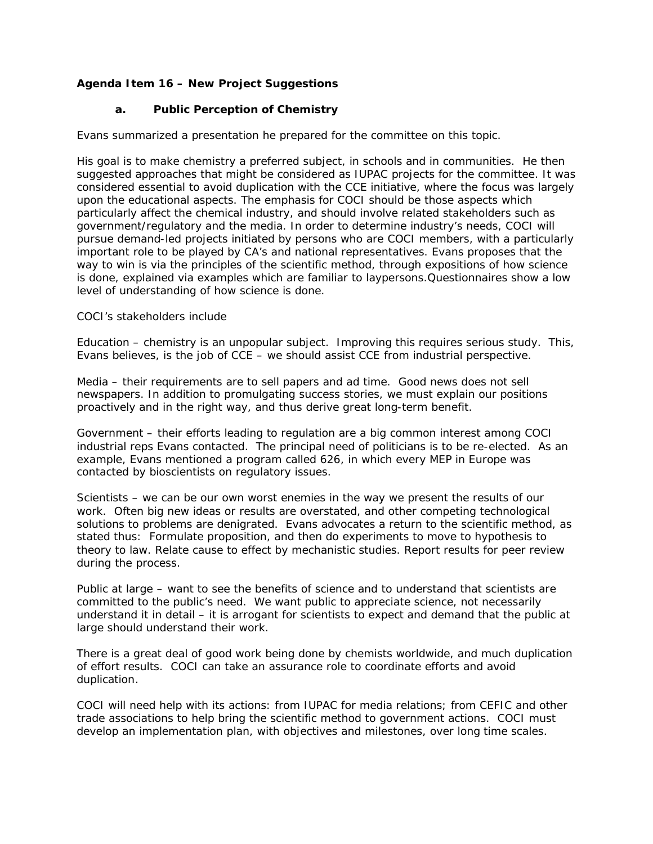# **Agenda Item 16 – New Project Suggestions**

### **a. Public Perception of Chemistry**

Evans summarized a presentation he prepared for the committee on this topic.

His goal is to make chemistry a preferred subject, in schools and in communities. He then suggested approaches that might be considered as IUPAC projects for the committee. It was considered essential to avoid duplication with the CCE initiative, where the focus was largely upon the educational aspects. The emphasis for COCI should be those aspects which particularly affect the chemical industry, and should involve related stakeholders such as government/regulatory and the media. In order to determine industry's needs, COCI will pursue demand-led projects initiated by persons who are COCI members, with a particularly important role to be played by CA's and national representatives. Evans proposes that the way to win is via the principles of the scientific method, through expositions of how science is done, explained via examples which are familiar to laypersons.Questionnaires show a low level of understanding of how science is done.

#### COCI's stakeholders include

Education – chemistry is an unpopular subject. Improving this requires serious study. This, Evans believes, is the job of CCE – we should assist CCE from industrial perspective.

Media – their requirements are to sell papers and ad time. Good news does not sell newspapers. In addition to promulgating success stories, we must explain our positions proactively and in the right way, and thus derive great long-term benefit.

Government – their efforts leading to regulation are a big common interest among COCI industrial reps Evans contacted. The principal need of politicians is to be re-elected. As an example, Evans mentioned a program called 626, in which every MEP in Europe was contacted by bioscientists on regulatory issues.

Scientists – we can be our own worst enemies in the way we present the results of our work. Often big new ideas or results are overstated, and other competing technological solutions to problems are denigrated. Evans advocates a return to the scientific method, as stated thus: Formulate proposition, and then do experiments to move to hypothesis to theory to law. Relate cause to effect by mechanistic studies. Report results for peer review during the process.

Public at large – want to see the benefits of science and to understand that scientists are committed to the public's need. We want public to appreciate science, not necessarily understand it in detail – it is arrogant for scientists to expect and demand that the public at large should understand their work.

There is a great deal of good work being done by chemists worldwide, and much duplication of effort results. COCI can take an assurance role to coordinate efforts and avoid duplication.

COCI will need help with its actions: from IUPAC for media relations; from CEFIC and other trade associations to help bring the scientific method to government actions. COCI must develop an implementation plan, with objectives and milestones, over long time scales.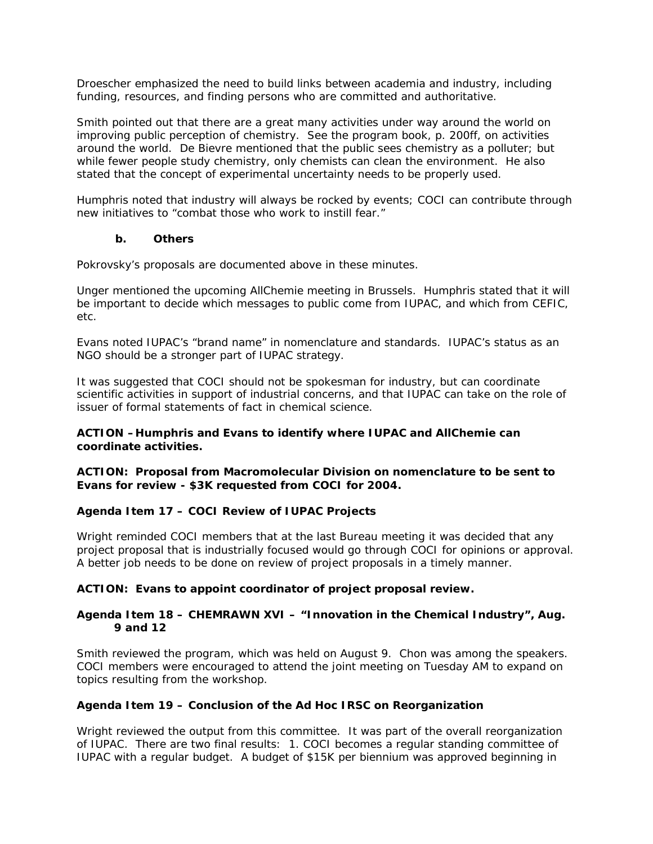Droescher emphasized the need to build links between academia and industry, including funding, resources, and finding persons who are committed and authoritative.

Smith pointed out that there are a great many activities under way around the world on improving public perception of chemistry. See the program book, p. 200ff, on activities around the world. De Bievre mentioned that the public sees chemistry as a polluter; but while fewer people study chemistry, only chemists can clean the environment. He also stated that the concept of experimental uncertainty needs to be properly used.

Humphris noted that industry will always be rocked by events; COCI can contribute through new initiatives to "combat those who work to instill fear."

### **b. Others**

Pokrovsky's proposals are documented above in these minutes.

Unger mentioned the upcoming AllChemie meeting in Brussels. Humphris stated that it will be important to decide which messages to public come from IUPAC, and which from CEFIC, etc.

Evans noted IUPAC's "brand name" in nomenclature and standards. IUPAC's status as an NGO should be a stronger part of IUPAC strategy.

It was suggested that COCI should not be spokesman for industry, but can coordinate scientific activities in support of industrial concerns, and that IUPAC can take on the role of issuer of formal statements of fact in chemical science.

### **ACTION –Humphris and Evans to identify where IUPAC and AllChemie can coordinate activities.**

#### **ACTION: Proposal from Macromolecular Division on nomenclature to be sent to Evans for review - \$3K requested from COCI for 2004.**

### **Agenda Item 17 – COCI Review of IUPAC Projects**

Wright reminded COCI members that at the last Bureau meeting it was decided that any project proposal that is industrially focused would go through COCI for opinions or approval. A better job needs to be done on review of project proposals in a timely manner.

### **ACTION: Evans to appoint coordinator of project proposal review.**

### **Agenda Item 18 – CHEMRAWN XVI – "Innovation in the Chemical Industry", Aug. 9 and 12**

Smith reviewed the program, which was held on August 9. Chon was among the speakers. COCI members were encouraged to attend the joint meeting on Tuesday AM to expand on topics resulting from the workshop.

### **Agenda Item 19 – Conclusion of the Ad Hoc IRSC on Reorganization**

Wright reviewed the output from this committee. It was part of the overall reorganization of IUPAC. There are two final results: 1. COCI becomes a regular standing committee of IUPAC with a regular budget. A budget of \$15K per biennium was approved beginning in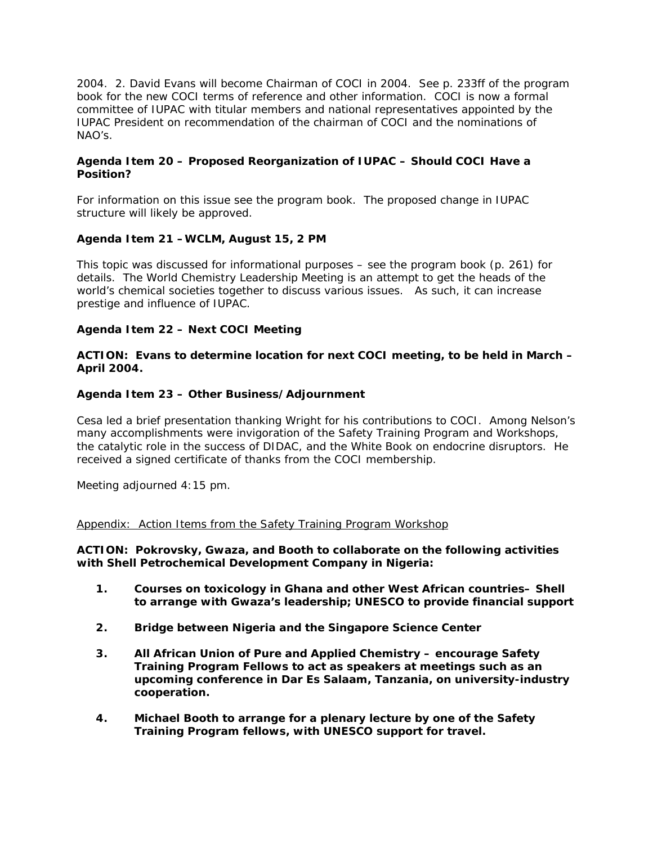2004. 2. David Evans will become Chairman of COCI in 2004. See p. 233ff of the program book for the new COCI terms of reference and other information. COCI is now a formal committee of IUPAC with titular members and national representatives appointed by the IUPAC President on recommendation of the chairman of COCI and the nominations of NAO's.

### **Agenda Item 20 – Proposed Reorganization of IUPAC – Should COCI Have a Position?**

For information on this issue see the program book. The proposed change in IUPAC structure will likely be approved.

### **Agenda Item 21 –WCLM, August 15, 2 PM**

This topic was discussed for informational purposes – see the program book (p. 261) for details. The World Chemistry Leadership Meeting is an attempt to get the heads of the world's chemical societies together to discuss various issues. As such, it can increase prestige and influence of IUPAC.

### **Agenda Item 22 – Next COCI Meeting**

#### **ACTION: Evans to determine location for next COCI meeting, to be held in March – April 2004.**

### **Agenda Item 23 – Other Business/Adjournment**

Cesa led a brief presentation thanking Wright for his contributions to COCI. Among Nelson's many accomplishments were invigoration of the Safety Training Program and Workshops, the catalytic role in the success of DIDAC, and the White Book on endocrine disruptors. He received a signed certificate of thanks from the COCI membership.

Meeting adjourned 4:15 pm.

#### Appendix: Action Items from the Safety Training Program Workshop

**ACTION: Pokrovsky, Gwaza, and Booth to collaborate on the following activities with Shell Petrochemical Development Company in Nigeria:**

- **1. Courses on toxicology in Ghana and other West African countries– Shell to arrange with Gwaza's leadership; UNESCO to provide financial support**
- **2. Bridge between Nigeria and the Singapore Science Center**
- **3. All African Union of Pure and Applied Chemistry encourage Safety Training Program Fellows to act as speakers at meetings such as an upcoming conference in Dar Es Salaam, Tanzania, on university-industry cooperation.**
- **4. Michael Booth to arrange for a plenary lecture by one of the Safety Training Program fellows, with UNESCO support for travel.**